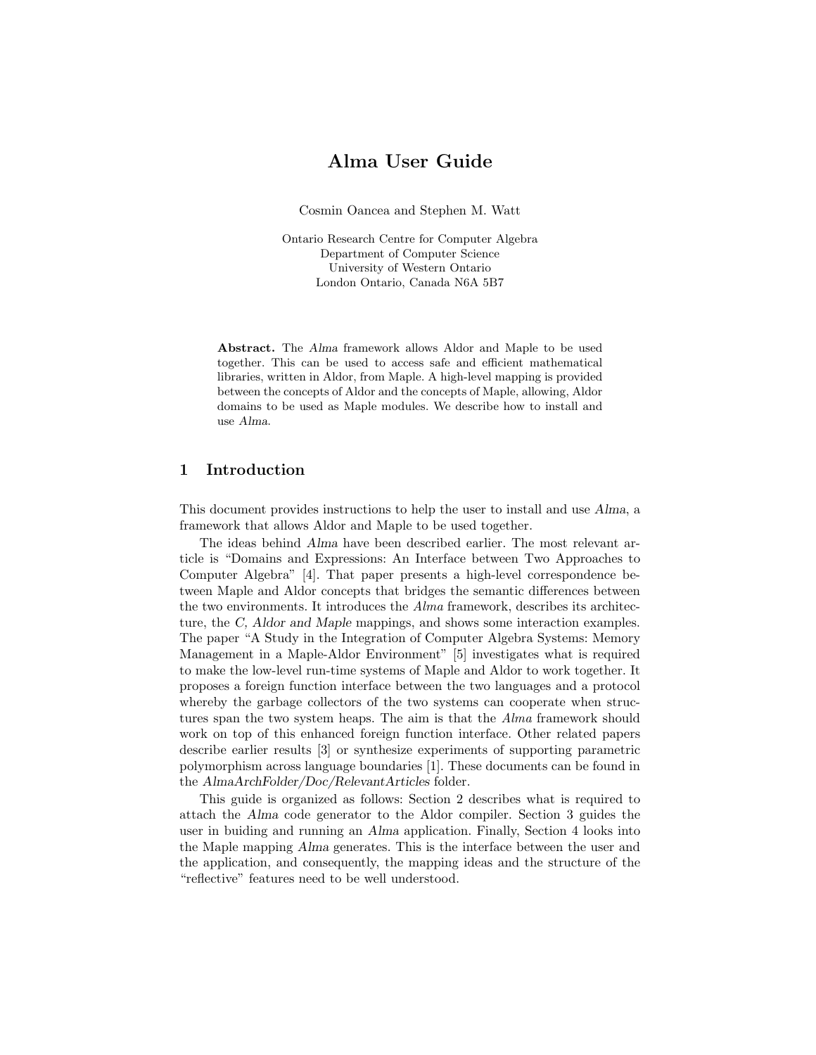# Alma User Guide

Cosmin Oancea and Stephen M. Watt

Ontario Research Centre for Computer Algebra Department of Computer Science University of Western Ontario London Ontario, Canada N6A 5B7

Abstract. The Alma framework allows Aldor and Maple to be used together. This can be used to access safe and efficient mathematical libraries, written in Aldor, from Maple. A high-level mapping is provided between the concepts of Aldor and the concepts of Maple, allowing, Aldor domains to be used as Maple modules. We describe how to install and use Alma.

## 1 Introduction

This document provides instructions to help the user to install and use Alma, a framework that allows Aldor and Maple to be used together.

The ideas behind Alma have been described earlier. The most relevant article is "Domains and Expressions: An Interface between Two Approaches to Computer Algebra" [4]. That paper presents a high-level correspondence between Maple and Aldor concepts that bridges the semantic differences between the two environments. It introduces the Alma framework, describes its architecture, the C, Aldor and Maple mappings, and shows some interaction examples. The paper "A Study in the Integration of Computer Algebra Systems: Memory Management in a Maple-Aldor Environment" [5] investigates what is required to make the low-level run-time systems of Maple and Aldor to work together. It proposes a foreign function interface between the two languages and a protocol whereby the garbage collectors of the two systems can cooperate when structures span the two system heaps. The aim is that the *Alma* framework should work on top of this enhanced foreign function interface. Other related papers describe earlier results [3] or synthesize experiments of supporting parametric polymorphism across language boundaries [1]. These documents can be found in the AlmaArchFolder/Doc/RelevantArticles folder.

This guide is organized as follows: Section 2 describes what is required to attach the Alma code generator to the Aldor compiler. Section 3 guides the user in buiding and running an Alma application. Finally, Section 4 looks into the Maple mapping Alma generates. This is the interface between the user and the application, and consequently, the mapping ideas and the structure of the "reflective" features need to be well understood.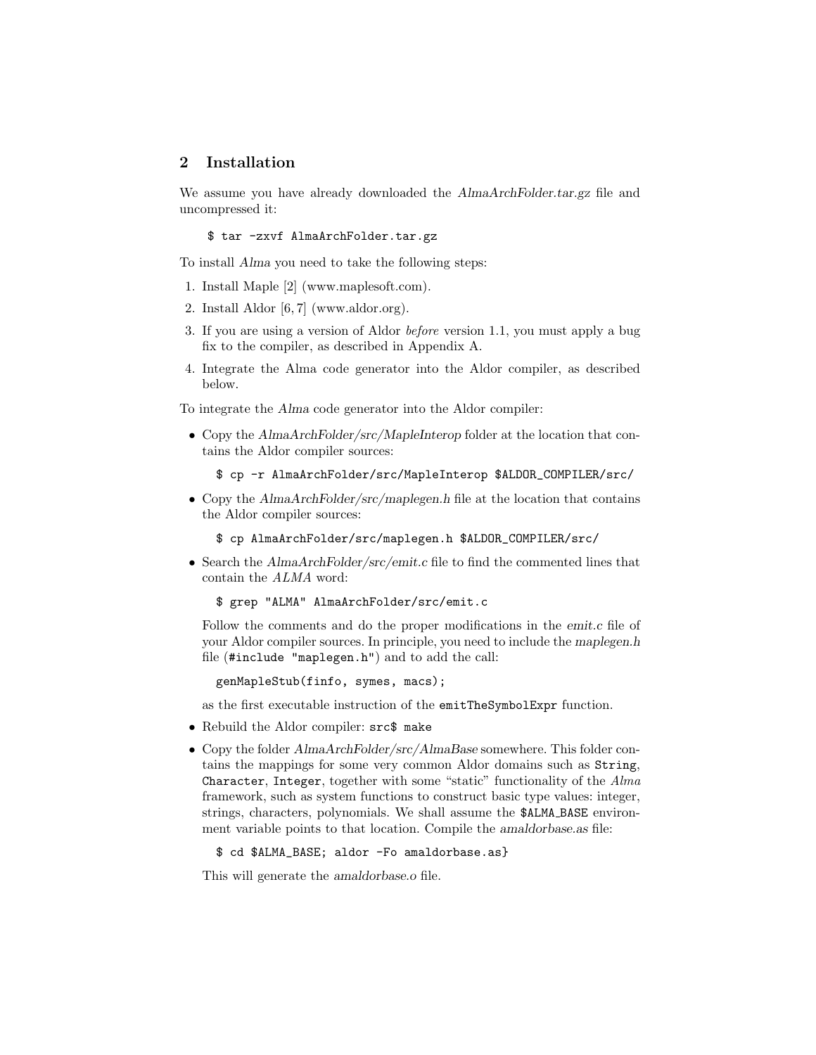## 2 Installation

We assume you have already downloaded the AlmaArchFolder.tar.gz file and uncompressed it:

\$ tar -zxvf AlmaArchFolder.tar.gz

To install Alma you need to take the following steps:

- 1. Install Maple [2] (www.maplesoft.com).
- 2. Install Aldor [6, 7] (www.aldor.org).
- 3. If you are using a version of Aldor before version 1.1, you must apply a bug fix to the compiler, as described in Appendix A.
- 4. Integrate the Alma code generator into the Aldor compiler, as described below.

To integrate the Alma code generator into the Aldor compiler:

• Copy the AlmaArchFolder/src/MapleInterop folder at the location that contains the Aldor compiler sources:

\$ cp -r AlmaArchFolder/src/MapleInterop \$ALDOR\_COMPILER/src/

- Copy the AlmaArchFolder/src/maplegen.h file at the location that contains the Aldor compiler sources:
	- \$ cp AlmaArchFolder/src/maplegen.h \$ALDOR\_COMPILER/src/
- Search the AlmaArchFolder/src/emit.c file to find the commented lines that contain the ALMA word:

```
$ grep "ALMA" AlmaArchFolder/src/emit.c
```
Follow the comments and do the proper modifications in the *emit.c* file of your Aldor compiler sources. In principle, you need to include the maplegen.h file (#include "maplegen.h") and to add the call:

genMapleStub(finfo, symes, macs);

as the first executable instruction of the emitTheSymbolExpr function.

- Rebuild the Aldor compiler: src\$ make
- Copy the folder AlmaArchFolder/src/AlmaBase somewhere. This folder contains the mappings for some very common Aldor domains such as String, Character, Integer, together with some "static" functionality of the Alma framework, such as system functions to construct basic type values: integer, strings, characters, polynomials. We shall assume the \$ALMA BASE environment variable points to that location. Compile the amaldorbase.as file:

\$ cd \$ALMA\_BASE; aldor -Fo amaldorbase.as}

This will generate the amaldorbase.o file.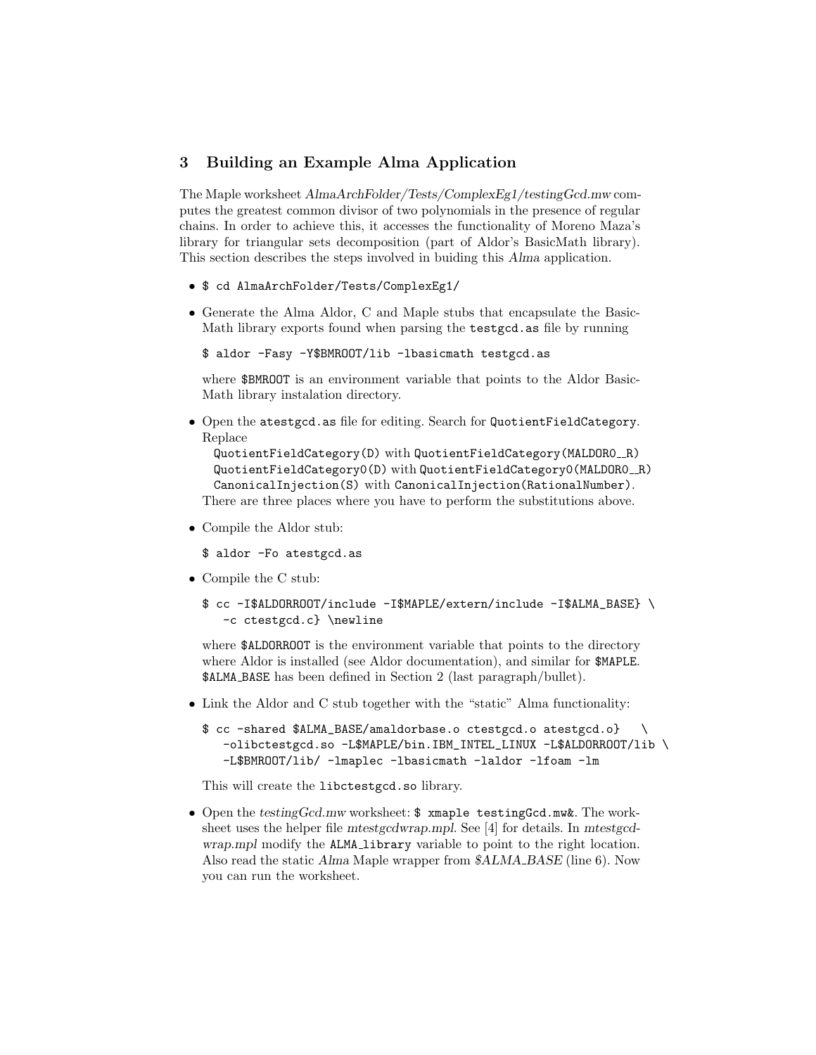## 3 Building an Example Alma Application

The Maple worksheet AlmaArchFolder/Tests/ComplexEg1/testingGcd.mw computes the greatest common divisor of two polynomials in the presence of regular chains. In order to achieve this, it accesses the functionality of Moreno Maza's library for triangular sets decomposition (part of Aldor's BasicMath library). This section describes the steps involved in buiding this Alma application.

- \$ cd AlmaArchFolder/Tests/ComplexEg1/
- Generate the Alma Aldor, C and Maple stubs that encapsulate the Basic-Math library exports found when parsing the testgcd.as file by running

```
$ aldor -Fasy -Y$BMROOT/lib -lbasicmath testgcd.as
```
where \$BMROOT is an environment variable that points to the Aldor Basic-Math library instalation directory.

• Open the atestgcd.as file for editing. Search for QuotientFieldCategory. Replace

```
QuotientFieldCategory(D) with QuotientFieldCategory(MALDORO_R)
 QuotientFieldCategory0(D) with QuotientFieldCategory0(MALDORO_R)
 CanonicalInjection(S) with CanonicalInjection(RationalNumber).
There are three places where you have to perform the substitutions above.
```
• Compile the Aldor stub:

\$ aldor -Fo atestgcd.as

- Compile the C stub:
	- \$ cc -I\$ALDORROOT/include -I\$MAPLE/extern/include -I\$ALMA\_BASE} \ -c ctestgcd.c} \newline

where **\$ALDORROOT** is the environment variable that points to the directory where Aldor is installed (see Aldor documentation), and similar for \$MAPLE. \$ALMA BASE has been defined in Section 2 (last paragraph/bullet).

• Link the Aldor and C stub together with the "static" Alma functionality:

```
$ cc -shared $ALMA_BASE/amaldorbase.o ctestgcd.o atestgcd.o} \
   -olibctestgcd.so -L$MAPLE/bin.IBM_INTEL_LINUX -L$ALDORROOT/lib \
   -L$BMROOT/lib/ -lmaplec -lbasicmath -laldor -lfoam -lm
```
This will create the libctestgcd.so library.

• Open the testingGcd.mw worksheet: \$ xmaple testingGcd.mw&. The worksheet uses the helper file mtestgcdwrap.mpl. See [4] for details. In mtestgcdwrap.mpl modify the ALMA library variable to point to the right location. Also read the static Alma Maple wrapper from \$ALMA\_BASE (line 6). Now you can run the worksheet.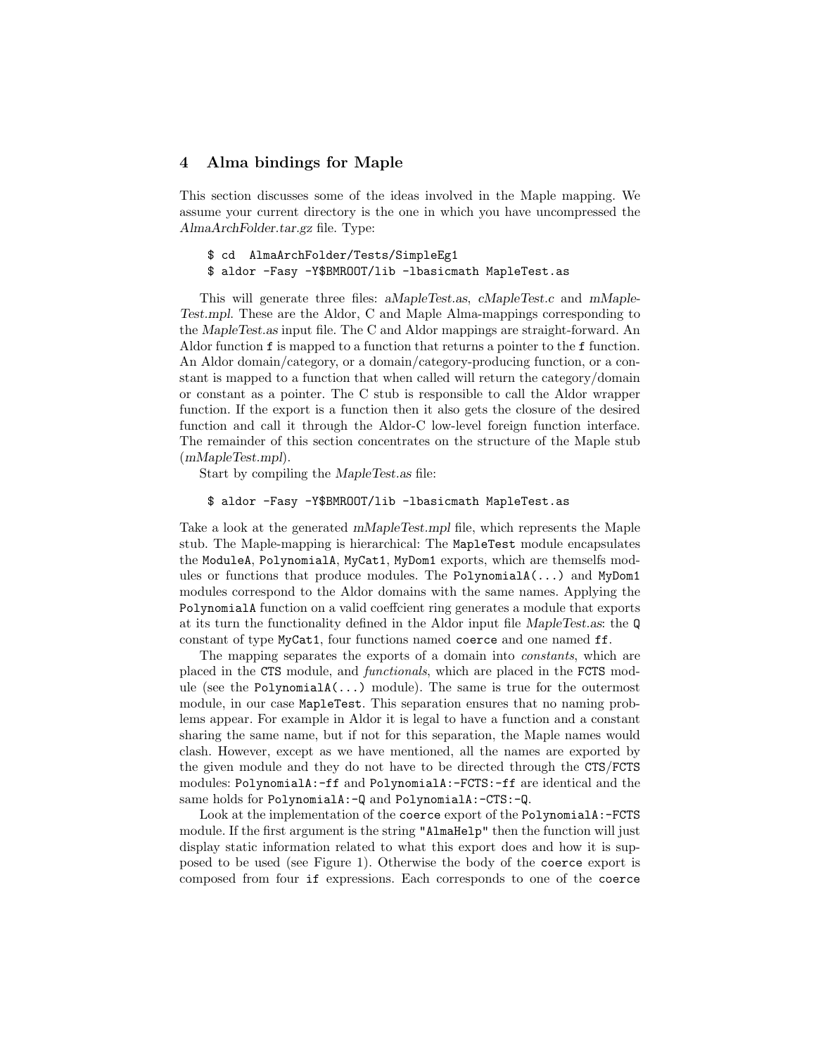### 4 Alma bindings for Maple

This section discusses some of the ideas involved in the Maple mapping. We assume your current directory is the one in which you have uncompressed the AlmaArchFolder.tar.gz file. Type:

\$ cd AlmaArchFolder/Tests/SimpleEg1 \$ aldor -Fasy -Y\$BMROOT/lib -lbasicmath MapleTest.as

This will generate three files: aMapleTest.as, cMapleTest.c and mMaple-Test.mpl. These are the Aldor, C and Maple Alma-mappings corresponding to the MapleTest.as input file. The C and Aldor mappings are straight-forward. An Aldor function f is mapped to a function that returns a pointer to the f function. An Aldor domain/category, or a domain/category-producing function, or a constant is mapped to a function that when called will return the category/domain or constant as a pointer. The C stub is responsible to call the Aldor wrapper function. If the export is a function then it also gets the closure of the desired function and call it through the Aldor-C low-level foreign function interface. The remainder of this section concentrates on the structure of the Maple stub (mMapleTest.mpl).

Start by compiling the MapleTest.as file:

#### \$ aldor -Fasy -Y\$BMROOT/lib -lbasicmath MapleTest.as

Take a look at the generated mMapleTest.mpl file, which represents the Maple stub. The Maple-mapping is hierarchical: The MapleTest module encapsulates the ModuleA, PolynomialA, MyCat1, MyDom1 exports, which are themselfs modules or functions that produce modules. The Polynomial $A(\ldots)$  and MyDom1 modules correspond to the Aldor domains with the same names. Applying the PolynomialA function on a valid coeffcient ring generates a module that exports at its turn the functionality defined in the Aldor input file MapleTest.as: the Q constant of type MyCat1, four functions named coerce and one named ff.

The mapping separates the exports of a domain into constants, which are placed in the CTS module, and functionals, which are placed in the FCTS module (see the PolynomialA(...) module). The same is true for the outermost module, in our case MapleTest. This separation ensures that no naming problems appear. For example in Aldor it is legal to have a function and a constant sharing the same name, but if not for this separation, the Maple names would clash. However, except as we have mentioned, all the names are exported by the given module and they do not have to be directed through the CTS/FCTS modules: PolynomialA:-ff and PolynomialA:-FCTS:-ff are identical and the same holds for PolynomialA: -Q and PolynomialA: -CTS: -Q.

Look at the implementation of the coerce export of the PolynomialA:-FCTS module. If the first argument is the string "AlmaHelp" then the function will just display static information related to what this export does and how it is supposed to be used (see Figure 1). Otherwise the body of the coerce export is composed from four if expressions. Each corresponds to one of the coerce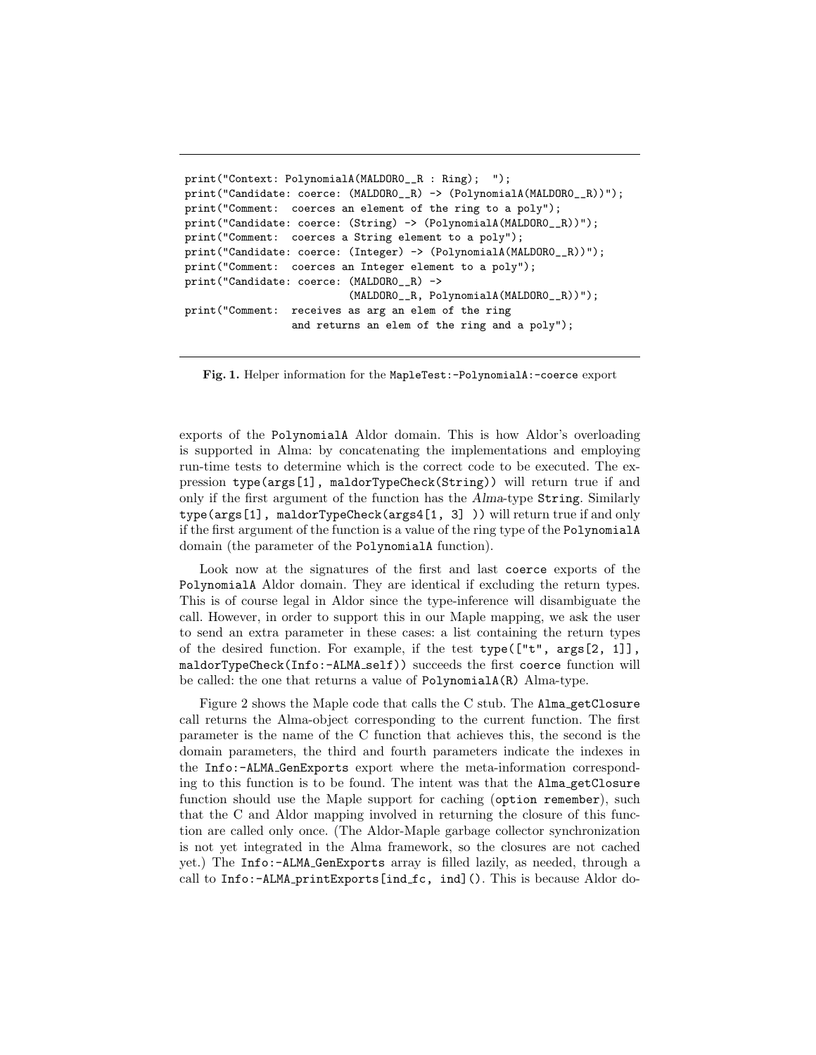```
print("Context: PolynomialA(MALDOR0__R : Ring); ");
print("Candidate: coerce: (MALDOR0__R) -> (PolynomialA(MALDOR0__R))");
print("Comment: coerces an element of the ring to a poly");
print("Candidate: coerce: (String) -> (PolynomialA(MALDORO__R))");
print("Comment: coerces a String element to a poly");
print("Candidate: coerce: (Integer) -> (PolynomialA(MALDOR0__R))");
print("Comment: coerces an Integer element to a poly");
print("Candidate: coerce: (MALDOR0__R) ->
                          (MALDOR0__R, PolynomialA(MALDOR0__R))");
print("Comment: receives as arg an elem of the ring
                 and returns an elem of the ring and a poly");
```
Fig. 1. Helper information for the MapleTest:-PolynomialA:-coerce export

exports of the PolynomialA Aldor domain. This is how Aldor's overloading is supported in Alma: by concatenating the implementations and employing run-time tests to determine which is the correct code to be executed. The expression type(args[1], maldorTypeCheck(String)) will return true if and only if the first argument of the function has the Alma-type String. Similarly type(args[1], maldorTypeCheck(args4[1, 3] )) will return true if and only if the first argument of the function is a value of the ring type of the PolynomialA domain (the parameter of the PolynomialA function).

Look now at the signatures of the first and last coerce exports of the PolynomialA Aldor domain. They are identical if excluding the return types. This is of course legal in Aldor since the type-inference will disambiguate the call. However, in order to support this in our Maple mapping, we ask the user to send an extra parameter in these cases: a list containing the return types of the desired function. For example, if the test type(["t", args[2, 1]], maldorTypeCheck(Info:-ALMA self)) succeeds the first coerce function will be called: the one that returns a value of PolynomialA(R) Alma-type.

Figure 2 shows the Maple code that calls the C stub. The Alma getClosure call returns the Alma-object corresponding to the current function. The first parameter is the name of the C function that achieves this, the second is the domain parameters, the third and fourth parameters indicate the indexes in the Info:-ALMA GenExports export where the meta-information corresponding to this function is to be found. The intent was that the Alma getClosure function should use the Maple support for caching (option remember), such that the C and Aldor mapping involved in returning the closure of this function are called only once. (The Aldor-Maple garbage collector synchronization is not yet integrated in the Alma framework, so the closures are not cached yet.) The Info:-ALMA GenExports array is filled lazily, as needed, through a call to Info:-ALMA printExports[ind fc, ind](). This is because Aldor do-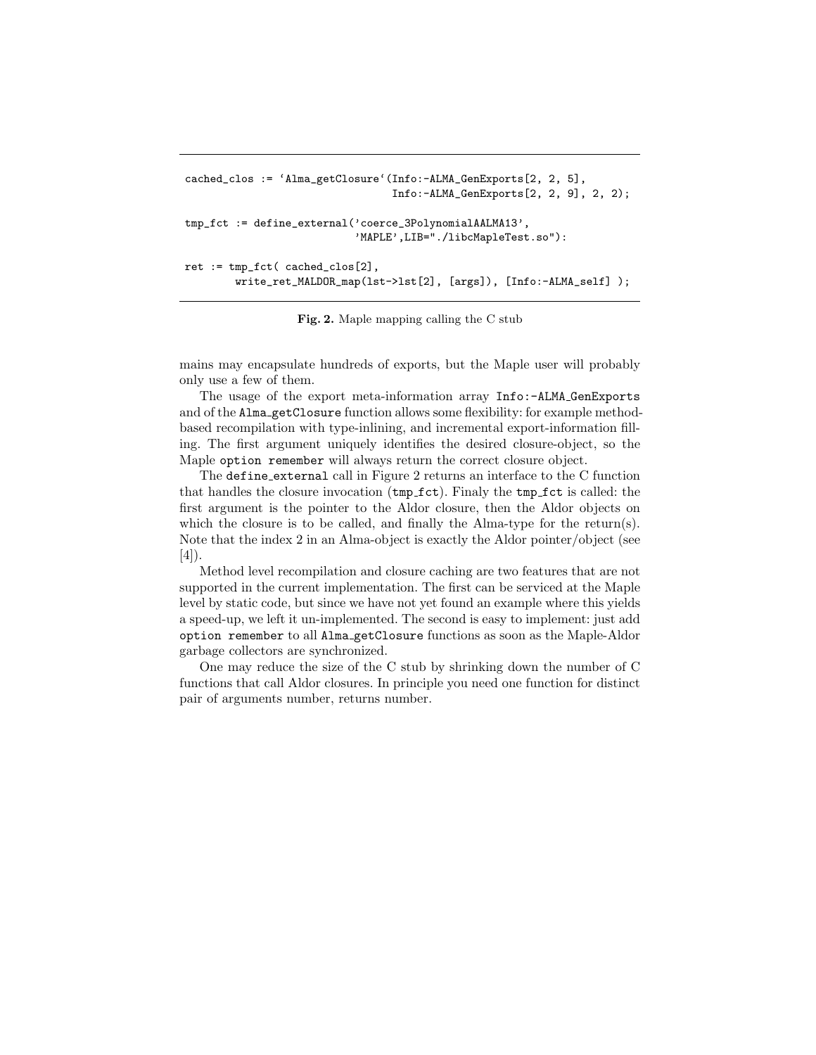```
cached_clos := 'Alma_getClosure'(Info:-ALMA_GenExports[2, 2, 5],
                                 Info:-ALMA_GenExports[2, 2, 9], 2, 2);
tmp_fct := define_external('coerce_3PolynomialAALMA13',
                           'MAPLE',LIB="./libcMapleTest.so"):
ret := tmp_fct( cached_clos[2],
        write_ret_MALDOR_map(lst->lst[2], [args]), [Info:-ALMA_self] );
```
Fig. 2. Maple mapping calling the C stub

mains may encapsulate hundreds of exports, but the Maple user will probably only use a few of them.

The usage of the export meta-information array Info:-ALMA GenExports and of the Alma getClosure function allows some flexibility: for example methodbased recompilation with type-inlining, and incremental export-information filling. The first argument uniquely identifies the desired closure-object, so the Maple option remember will always return the correct closure object.

The define external call in Figure 2 returns an interface to the C function that handles the closure invocation (tmp fct). Finaly the tmp fct is called: the first argument is the pointer to the Aldor closure, then the Aldor objects on which the closure is to be called, and finally the Alma-type for the return(s). Note that the index 2 in an Alma-object is exactly the Aldor pointer/object (see [4]).

Method level recompilation and closure caching are two features that are not supported in the current implementation. The first can be serviced at the Maple level by static code, but since we have not yet found an example where this yields a speed-up, we left it un-implemented. The second is easy to implement: just add option remember to all Alma getClosure functions as soon as the Maple-Aldor garbage collectors are synchronized.

One may reduce the size of the C stub by shrinking down the number of C functions that call Aldor closures. In principle you need one function for distinct pair of arguments number, returns number.